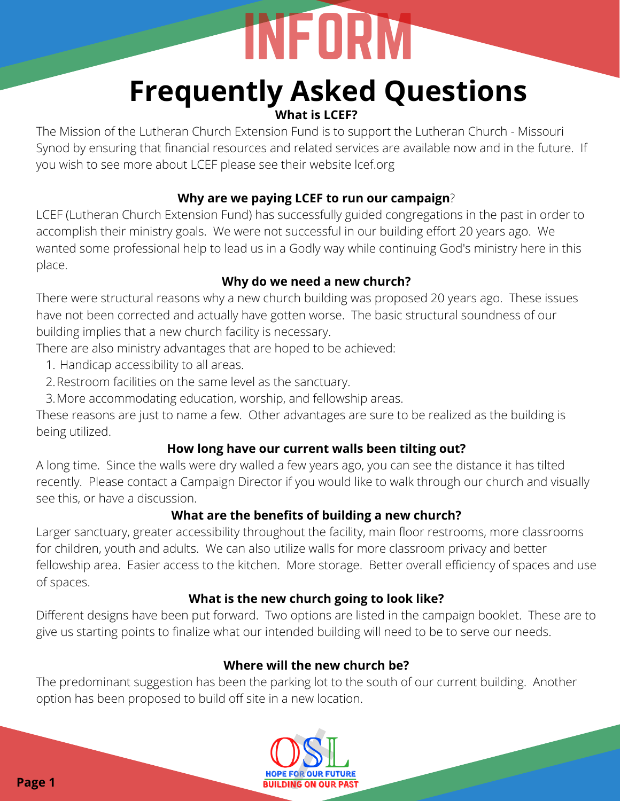# **What is LCEF?**

The Mission of the Lutheran Church Extension Fund is to support the Lutheran Church - Missouri Synod by ensuring that financial resources and related services are available now and in the future. If you wish to see more about LCEF please see their website lcef.org

# **Why are we paying LCEF to run our campaign**?

LCEF (Lutheran Church Extension Fund) has successfully guided congregations in the past in order to accomplish their ministry goals. We were not successful in our building effort 20 years ago. We wanted some professional help to lead us in a Godly way while continuing God's ministry here in this place.

# **Why do we need a new church?**

There were structural reasons why a new church building was proposed 20 years ago. These issues have not been corrected and actually have gotten worse. The basic structural soundness of our building implies that a new church facility is necessary.

There are also ministry advantages that are hoped to be achieved:

- 1. Handicap accessibility to all areas.
- 2.Restroom facilities on the same level as the sanctuary.
- More accommodating education, worship, and fellowship areas. 3.

These reasons are just to name a few. Other advantages are sure to be realized as the building is being utilized.

# **How long have our current walls been tilting out?**

A long time. Since the walls were dry walled a few years ago, you can see the distance it has tilted recently. Please contact a Campaign Director if you would like to walk through our church and visually see this, or have a discussion.

# **What are the benefits of building a new church?**

Larger sanctuary, greater accessibility throughout the facility, main floor restrooms, more classrooms for children, youth and adults. We can also utilize walls for more classroom privacy and better fellowship area. Easier access to the kitchen. More storage. Better overall efficiency of spaces and use of spaces. **Page 1** In High state and the state of the state of the state of the state of the state of the state of the state of the state of the state of the state of the state of the state of the state of the state of the state of

# **What is the new church going to look like?**

Different designs have been put forward. Two options are listed in the campaign booklet. These are to give us starting points to finalize what our intended building will need to be to serve our needs.

# **Where will the new church be?**

The predominant suggestion has been the parking lot to the south of our current building. Another option has been proposed to build off site in a new location.

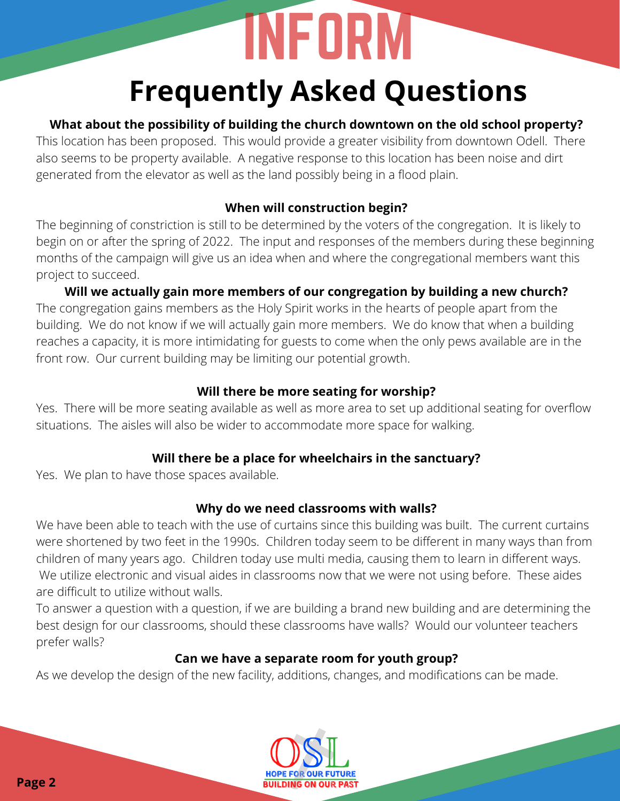# **Frequently Asked Questions Frequently of building the church downtown**<br>This boottom has been subpositive of building the church downtown<br>This boottom has been propose. This would provide a greate visibilized<br>generated from the deward as well as the

# **What about the possibility of building the church downtown on the old school property?**

This location has been proposed. This would provide a greater visibility from downtown Odell. There also seems to be property available. A negative response to this location has been noise and dirt generated from the elevator as well as the land possibly being in a flood plain.

# **When will construction begin?**

The beginning of constriction is still to be determined by the voters of the congregation. It is likely to begin on or after the spring of 2022. The input and responses of the members during these beginning months of the campaign will give us an idea when and where the congregational members want this project to succeed.

**Will we actually gain more members of our congregation by building a new church?** The congregation gains members as the Holy Spirit works in the hearts of people apart from the building. We do not know if we will actually gain more members. We do know that when a building reaches a capacity, it is more intimidating for guests to come when the only pews available are in the front row. Our current building may be limiting our potential growth.

# **Will there be more seating for worship?**

Yes. There will be more seating available as well as more area to set up additional seating for overflow situations. The aisles will also be wider to accommodate more space for walking.

# **Will there be a place for wheelchairs in the sanctuary?**

Yes. We plan to have those spaces available.

# **Why do we need classrooms with walls?**

We have been able to teach with the use of curtains since this building was built. The current curtains were shortened by two feet in the 1990s. Children today seem to be different in many ways than from children of many years ago. Children today use multi media, causing them to learn in different ways. We utilize electronic and visual aides in classrooms now that we were not using before. These aides are difficult to utilize without walls.

To answer a question with a question, if we are building a brand new building and are determining the best design for our classrooms, should these classrooms have walls? Would our volunteer teachers prefer walls?

# **Can we have a separate room for youth group?**

As we develop the design of the new facility, additions, changes, and modifications can be made.

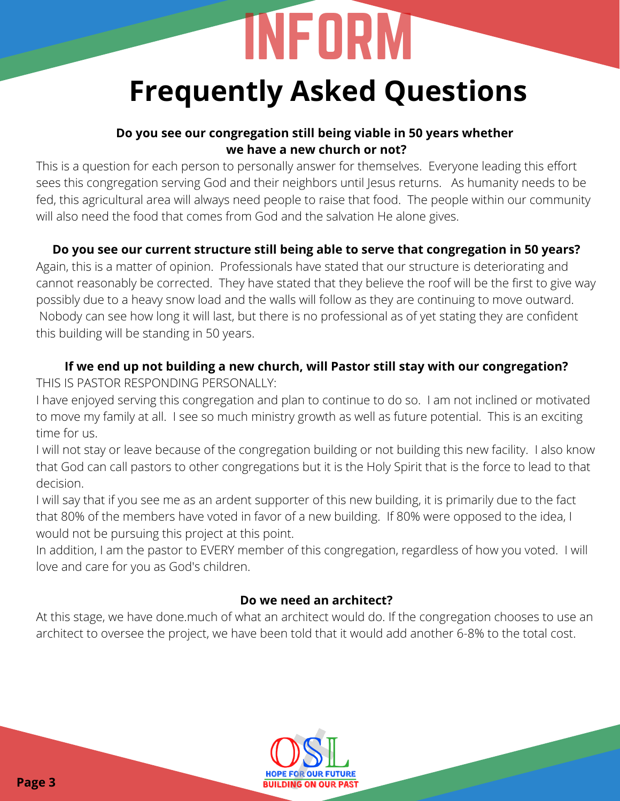# **Frequently Asked Questions Page 3**<br> **Page 3** International of the control of the control of the state of the control of the control of the state of the control of the state of the state of the control of the state of the control of the control of t

# **Do you see our congregation still being viable in 50 years whether we have a new church or not?**

This is a question for each person to personally answer for themselves. Everyone leading this effort sees this congregation serving God and their neighbors until Jesus returns. As humanity needs to be fed, this agricultural area will always need people to raise that food. The people within our community will also need the food that comes from God and the salvation He alone gives.

# **Do you see our current structure still being able to serve that congregation in 50 years?**

Again, this is a matter of opinion. Professionals have stated that our structure is deteriorating and cannot reasonably be corrected. They have stated that they believe the roof will be the first to give way possibly due to a heavy snow load and the walls will follow as they are continuing to move outward. Nobody can see how long it will last, but there is no professional as of yet stating they are confident this building will be standing in 50 years.

## **If we end up not building a new church, will Pastor still stay with our congregation?** THIS IS PASTOR RESPONDING PERSONALLY:

I have enjoyed serving this congregation and plan to continue to do so. I am not inclined or motivated to move my family at all. I see so much ministry growth as well as future potential. This is an exciting time for us.

I will not stay or leave because of the congregation building or not building this new facility. I also know that God can call pastors to other congregations but it is the Holy Spirit that is the force to lead to that decision.

I will say that if you see me as an ardent supporter of this new building, it is primarily due to the fact that 80% of the members have voted in favor of a new building. If 80% were opposed to the idea, I would not be pursuing this project at this point.

In addition, I am the pastor to EVERY member of this congregation, regardless of how you voted. I will love and care for you as God's children.

# **Do we need an architect?**

At this stage, we have done.much of what an architect would do. If the congregation chooses to use an architect to oversee the project, we have been told that it would add another 6-8% to the total cost.

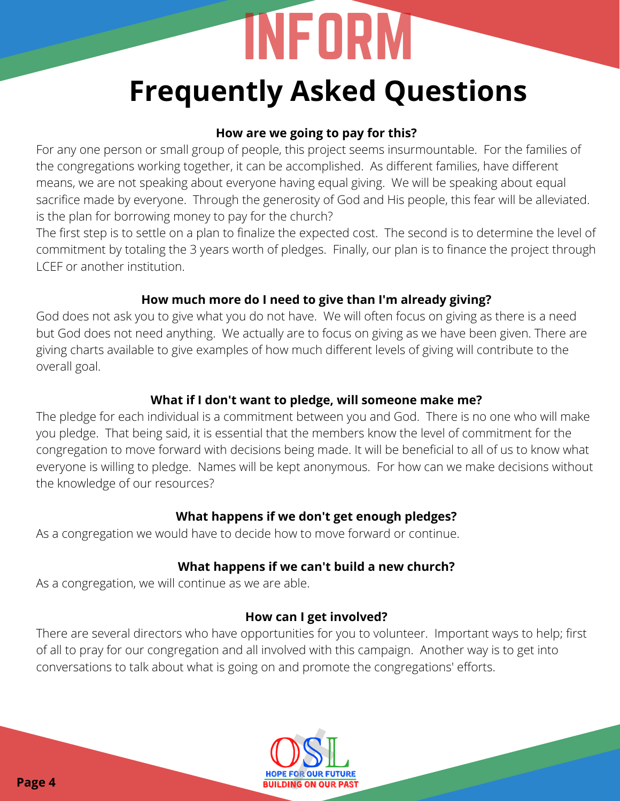# **How are we going to pay for this?**

For any one person or small group of people, this project seems insurmountable. For the families of the congregations working together, it can be accomplished. As different families, have different means, we are not speaking about everyone having equal giving. We will be speaking about equal sacrifice made by everyone. Through the generosity of God and His people, this fear will be alleviated. is the plan for borrowing money to pay for the church?

The first step is to settle on a plan to finalize the expected cost. The second is to determine the level of commitment by totaling the 3 years worth of pledges. Finally, our plan is to finance the project through LCEF or another institution.

# **How much more do I need to give than I'm already giving?**

God does not ask you to give what you do not have. We will often focus on giving as there is a need but God does not need anything. We actually are to focus on giving as we have been given. There are giving charts available to give examples of how much different levels of giving will contribute to the overall goal.

# **What if I don't want to pledge, will someone make me?**

The pledge for each individual is a commitment between you and God. There is no one who will make you pledge. That being said, it is essential that the members know the level of commitment for the congregation to move forward with decisions being made. It will be beneficial to all of us to know what everyone is willing to pledge. Names will be kept anonymous. For how can we make decisions without the knowledge of our resources? **Page 4** Internation we were the solity and the same way one person or small group of people, this project scenario means the congregation sending together, it can be accomplished. As after the signal person or small group

# **What happens if we don't get enough pledges?**

As a congregation we would have to decide how to move forward or continue.

# **What happens if we can't build a new church?**

As a congregation, we will continue as we are able.

# **How can I get involved?**

There are several directors who have opportunities for you to volunteer. Important ways to help; first of all to pray for our congregation and all involved with this campaign. Another way is to get into conversations to talk about what is going on and promote the congregations' efforts.

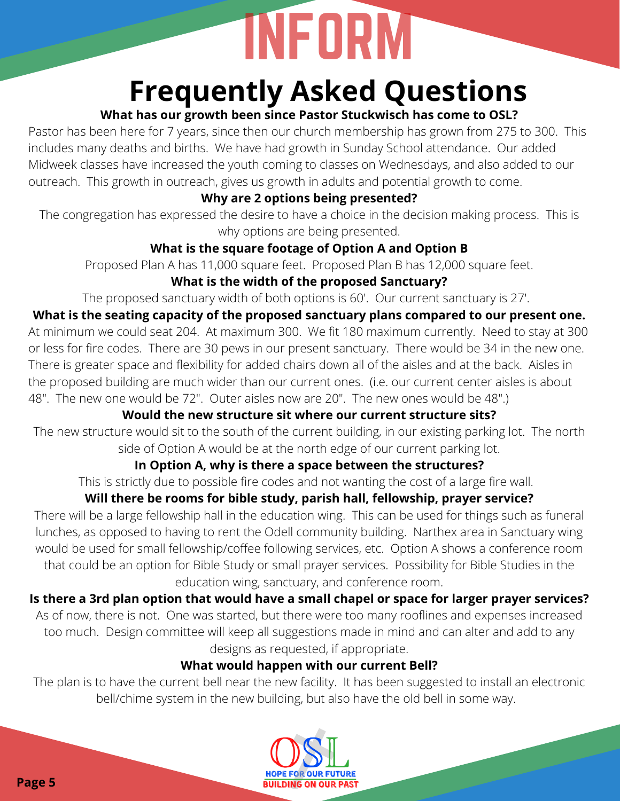# **What has our growth been since Pastor Stuckwisch has come to OSL?**

Pastor has been here for 7 years, since then our church membership has grown from 275 to 300. This includes many deaths and births. We have had growth in Sunday School attendance. Our added Midweek classes have increased the youth coming to classes on Wednesdays, and also added to our outreach. This growth in outreach, gives us growth in adults and potential growth to come.

# **Why are 2 options being presented?**

The congregation has expressed the desire to have a choice in the decision making process. This is why options are being presented.

# **What is the square footage of Option A and Option B**

Proposed Plan A has 11,000 square feet. Proposed Plan B has 12,000 square feet.

# **What is the width of the proposed Sanctuary?**

The proposed sanctuary width of both options is 60'. Our current sanctuary is 27'.

# **What is the seating capacity of the proposed sanctuary plans compared to our present one.**

At minimum we could seat 204. At maximum 300. We fit 180 maximum currently. Need to stay at 300 or less for fire codes. There are 30 pews in our present sanctuary. There would be 34 in the new one. There is greater space and flexibility for added chairs down all of the aisles and at the back. Aisles in the proposed building are much wider than our current ones. (i.e. our current center aisles is about 48". The new one would be 72". Outer aisles now are 20". The new ones would be 48".) **Page 6** Interest is a some proposed by Associated The page 10 and the proposed in the system and the page 10 and the proposed Press Since the compression of the congregation based on the system of the congregation based p

# **Would the new structure sit where our current structure sits?**

The new structure would sit to the south of the current building, in our existing parking lot. The north side of Option A would be at the north edge of our current parking lot.

# **In Option A, why is there a space between the structures?**

This is strictly due to possible fire codes and not wanting the cost of a large fire wall.

# **Will there be rooms for bible study, parish hall, fellowship, prayer service?**

There will be a large fellowship hall in the education wing. This can be used for things such as funeral lunches, as opposed to having to rent the Odell community building. Narthex area in Sanctuary wing would be used for small fellowship/coffee following services, etc. Option A shows a conference room that could be an option for Bible Study or small prayer services. Possibility for Bible Studies in the education wing, sanctuary, and conference room.

# **Is there a 3rd plan option that would have a small chapel or space for larger prayer services?**

As of now, there is not. One was started, but there were too many rooflines and expenses increased too much. Design committee will keep all suggestions made in mind and can alter and add to any designs as requested, if appropriate.

# **What would happen with our current Bell?**

The plan is to have the current bell near the new facility. It has been suggested to install an electronic bell/chime system in the new building, but also have the old bell in some way.

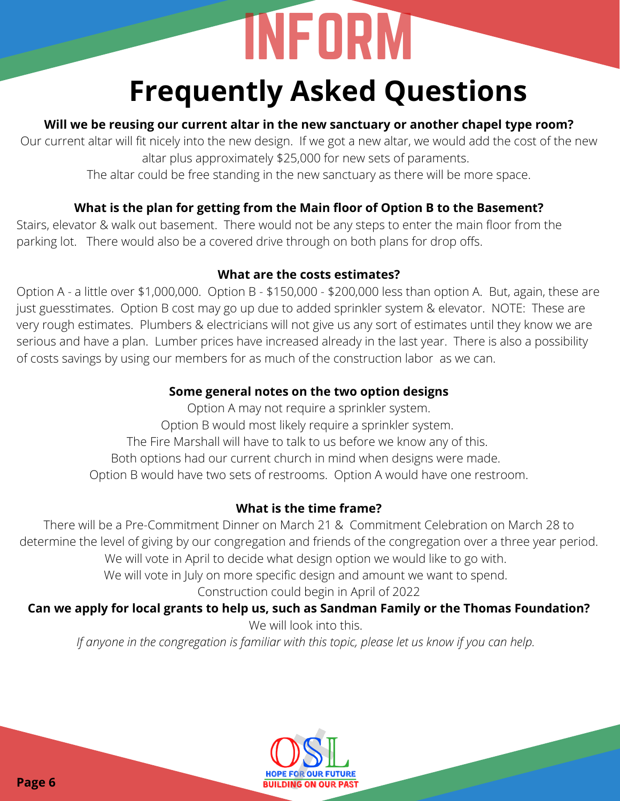# **Will we be reusing our current altar in the new sanctuary or another chapel type room?**

Our current altar will fit nicely into the new design. If we got a new altar, we would add the cost of the new altar plus approximately \$25,000 for new sets of paraments.

The altar could be free standing in the new sanctuary as there will be more space.

# **What is the plan for getting from the Main floor of Option B to the Basement?**

Stairs, elevator & walk out basement. There would not be any steps to enter the main floor from the parking lot. There would also be a covered drive through on both plans for drop offs.

## **What are the costs estimates?**

Option A - a little over \$1,000,000. Option B - \$150,000 - \$200,000 less than option A. But, again, these are just guesstimates. Option B cost may go up due to added sprinkler system & elevator. NOTE: These are very rough estimates. Plumbers & electricians will not give us any sort of estimates until they know we are serious and have a plan. Lumber prices have increased already in the last year. There is also a possibility of costs savings by using our members for as much of the construction labor as we can. **Page 6** Interesting our correction is the three systems of the comparison of the comparison of the control of the control of the control of the control of the control of the control of the control of the control of the co

# **Some general notes on the two option designs**

Option A may not require a sprinkler system.

Option B would most likely require a sprinkler system.

The Fire Marshall will have to talk to us before we know any of this.

Both options had our current church in mind when designs were made.

Option B would have two sets of restrooms. Option A would have one restroom.

# **What is the time frame?**

There will be a Pre-Commitment Dinner on March 21 & Commitment Celebration on March 28 to determine the level of giving by our congregation and friends of the congregation over a three year period. We will vote in April to decide what design option we would like to go with.

We will vote in July on more specific design and amount we want to spend.

Construction could begin in April of 2022

# **Can we apply for local grants to help us, such as Sandman Family or the Thomas Foundation?**

We will look into this.

*If anyone in the congregation is familiar with this topic, please let us know if you can help.*